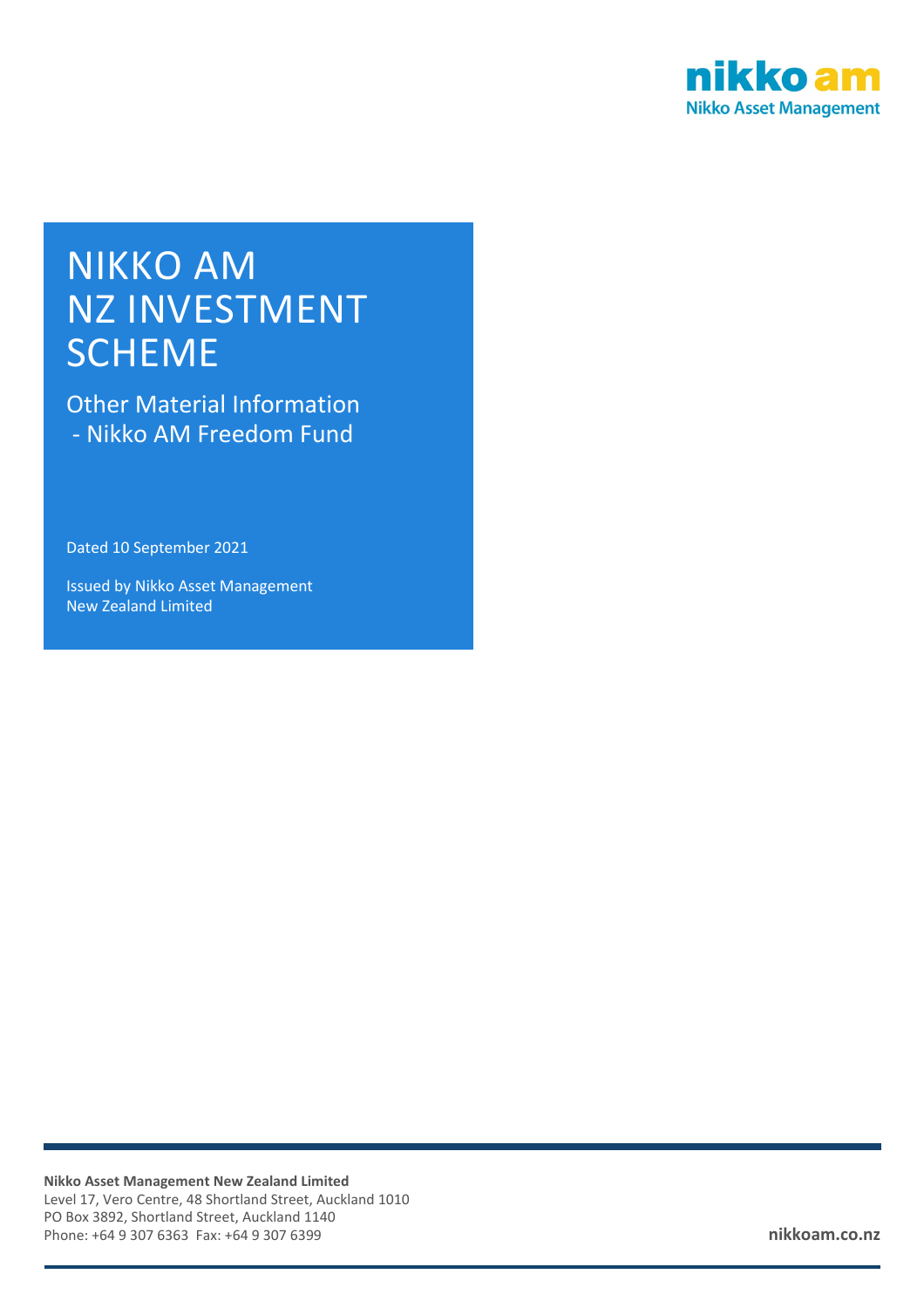

# NIKKO AM NZ INVESTMENT **SCHEME**

Other Material Information - Nikko AM Freedom Fund

Dated 10 September 2021

Issued by Nikko Asset Management New Zealand Limited

**Nikko Asset Management New Zealand Limited** Level 17, Vero Centre, 48 Shortland Street, Auckland 1010 PO Box 3892, Shortland Street, Auckland 1140 Phone: +64 9 307 6363 Fax: +64 9 307 6399 **nikkoam.co.nz**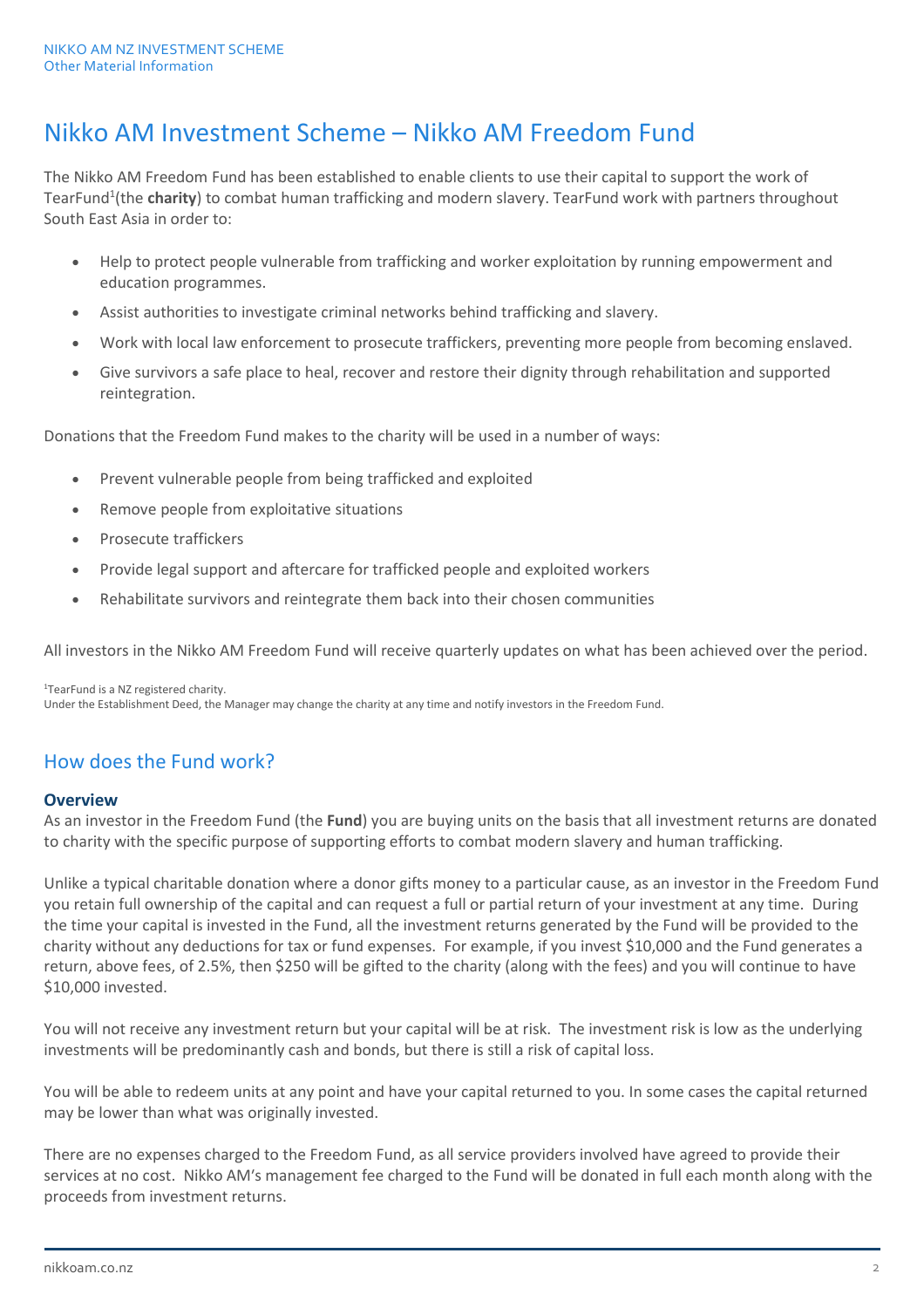# Nikko AM Investment Scheme – Nikko AM Freedom Fund

The Nikko AM Freedom Fund has been established to enable clients to use their capital to support the work of TearFund<sup>1</sup>(the **charity**) to combat human trafficking and modern slavery. TearFund work with partners throughout South East Asia in order to:

- Help to protect people vulnerable from trafficking and worker exploitation by running empowerment and education programmes.
- Assist authorities to investigate criminal networks behind trafficking and slavery.
- Work with local law enforcement to prosecute traffickers, preventing more people from becoming enslaved.
- Give survivors a safe place to heal, recover and restore their dignity through rehabilitation and supported reintegration.

Donations that the Freedom Fund makes to the charity will be used in a number of ways:

- Prevent vulnerable people from being trafficked and exploited
- Remove people from exploitative situations
- Prosecute traffickers
- Provide legal support and aftercare for trafficked people and exploited workers
- Rehabilitate survivors and reintegrate them back into their chosen communities

All investors in the Nikko AM Freedom Fund will receive quarterly updates on what has been achieved over the period.

1TearFund is a NZ registered charity. Under the Establishment Deed, the Manager may change the charity at any time and notify investors in the Freedom Fund.

## How does the Fund work?

#### **Overview**

As an investor in the Freedom Fund (the **Fund**) you are buying units on the basis that all investment returns are donated to charity with the specific purpose of supporting efforts to combat modern slavery and human trafficking.

Unlike a typical charitable donation where a donor gifts money to a particular cause, as an investor in the Freedom Fund you retain full ownership of the capital and can request a full or partial return of your investment at any time. During the time your capital is invested in the Fund, all the investment returns generated by the Fund will be provided to the charity without any deductions for tax or fund expenses. For example, if you invest \$10,000 and the Fund generates a return, above fees, of 2.5%, then \$250 will be gifted to the charity (along with the fees) and you will continue to have \$10,000 invested.

You will not receive any investment return but your capital will be at risk. The investment risk is low as the underlying investments will be predominantly cash and bonds, but there is still a risk of capital loss.

You will be able to redeem units at any point and have your capital returned to you. In some cases the capital returned may be lower than what was originally invested.

There are no expenses charged to the Freedom Fund, as all service providers involved have agreed to provide their services at no cost. Nikko AM's management fee charged to the Fund will be donated in full each month along with the proceeds from investment returns.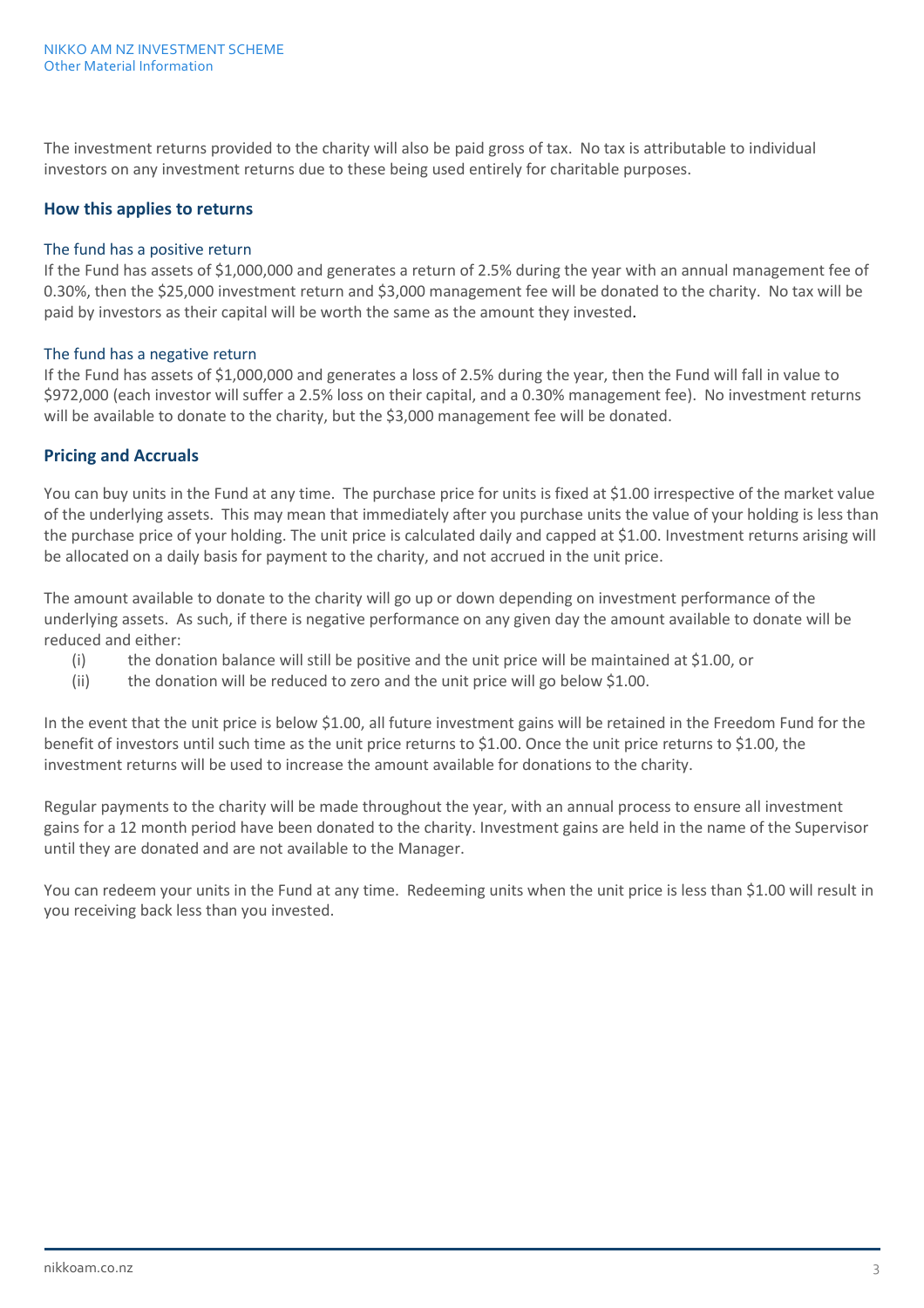The investment returns provided to the charity will also be paid gross of tax. No tax is attributable to individual investors on any investment returns due to these being used entirely for charitable purposes.

#### **How this applies to returns**

#### The fund has a positive return

If the Fund has assets of \$1,000,000 and generates a return of 2.5% during the year with an annual management fee of 0.30%, then the \$25,000 investment return and \$3,000 management fee will be donated to the charity. No tax will be paid by investors as their capital will be worth the same as the amount they invested.

#### The fund has a negative return

If the Fund has assets of \$1,000,000 and generates a loss of 2.5% during the year, then the Fund will fall in value to \$972,000 (each investor will suffer a 2.5% loss on their capital, and a 0.30% management fee). No investment returns will be available to donate to the charity, but the \$3,000 management fee will be donated.

#### **Pricing and Accruals**

You can buy units in the Fund at any time. The purchase price for units is fixed at \$1.00 irrespective of the market value of the underlying assets. This may mean that immediately after you purchase units the value of your holding is less than the purchase price of your holding. The unit price is calculated daily and capped at \$1.00. Investment returns arising will be allocated on a daily basis for payment to the charity, and not accrued in the unit price.

The amount available to donate to the charity will go up or down depending on investment performance of the underlying assets. As such, if there is negative performance on any given day the amount available to donate will be reduced and either:

- (i) the donation balance will still be positive and the unit price will be maintained at \$1.00, or
- (ii) the donation will be reduced to zero and the unit price will go below \$1.00.

In the event that the unit price is below \$1.00, all future investment gains will be retained in the Freedom Fund for the benefit of investors until such time as the unit price returns to \$1.00. Once the unit price returns to \$1.00, the investment returns will be used to increase the amount available for donations to the charity.

Regular payments to the charity will be made throughout the year, with an annual process to ensure all investment gains for a 12 month period have been donated to the charity. Investment gains are held in the name of the Supervisor until they are donated and are not available to the Manager.

You can redeem your units in the Fund at any time. Redeeming units when the unit price is less than \$1.00 will result in you receiving back less than you invested.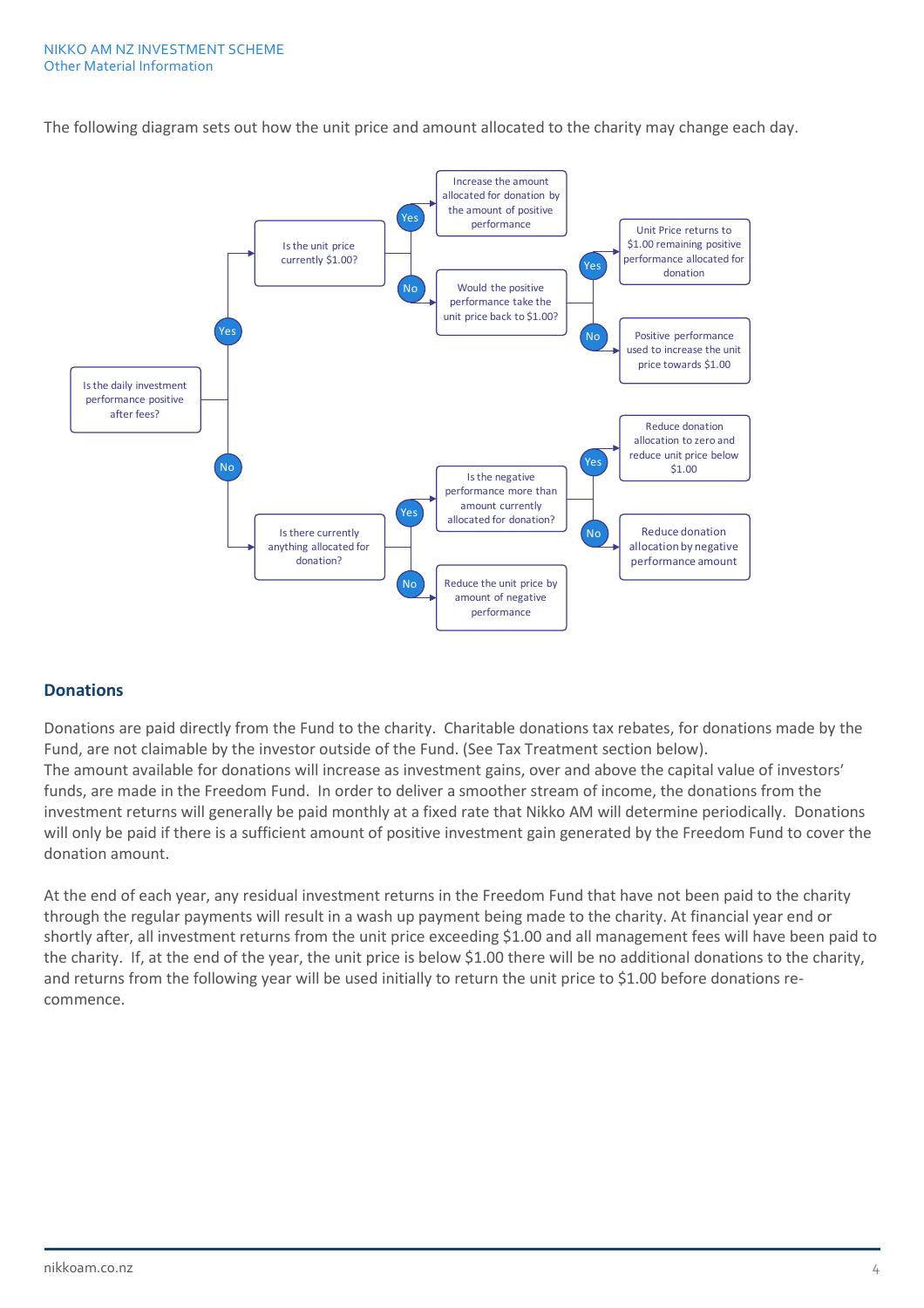The following diagram sets out how the unit price and amount allocated to the charity may change each day.



#### **Donations**

Donations are paid directly from the Fund to the charity. Charitable donations tax rebates, for donations made by the Fund, are not claimable by the investor outside of the Fund. (See Tax Treatment section below). The amount available for donations will increase as investment gains, over and above the capital value of investors' funds, are made in the Freedom Fund. In order to deliver a smoother stream of income, the donations from the investment returns will generally be paid monthly at a fixed rate that Nikko AM will determine periodically. Donations will only be paid if there is a sufficient amount of positive investment gain generated by the Freedom Fund to cover the donation amount.

At the end of each year, any residual investment returns in the Freedom Fund that have not been paid to the charity through the regular payments will result in a wash up payment being made to the charity. At financial year end or shortly after, all investment returns from the unit price exceeding \$1.00 and all management fees will have been paid to the charity. If, at the end of the year, the unit price is below \$1.00 there will be no additional donations to the charity, and returns from the following year will be used initially to return the unit price to \$1.00 before donations recommence.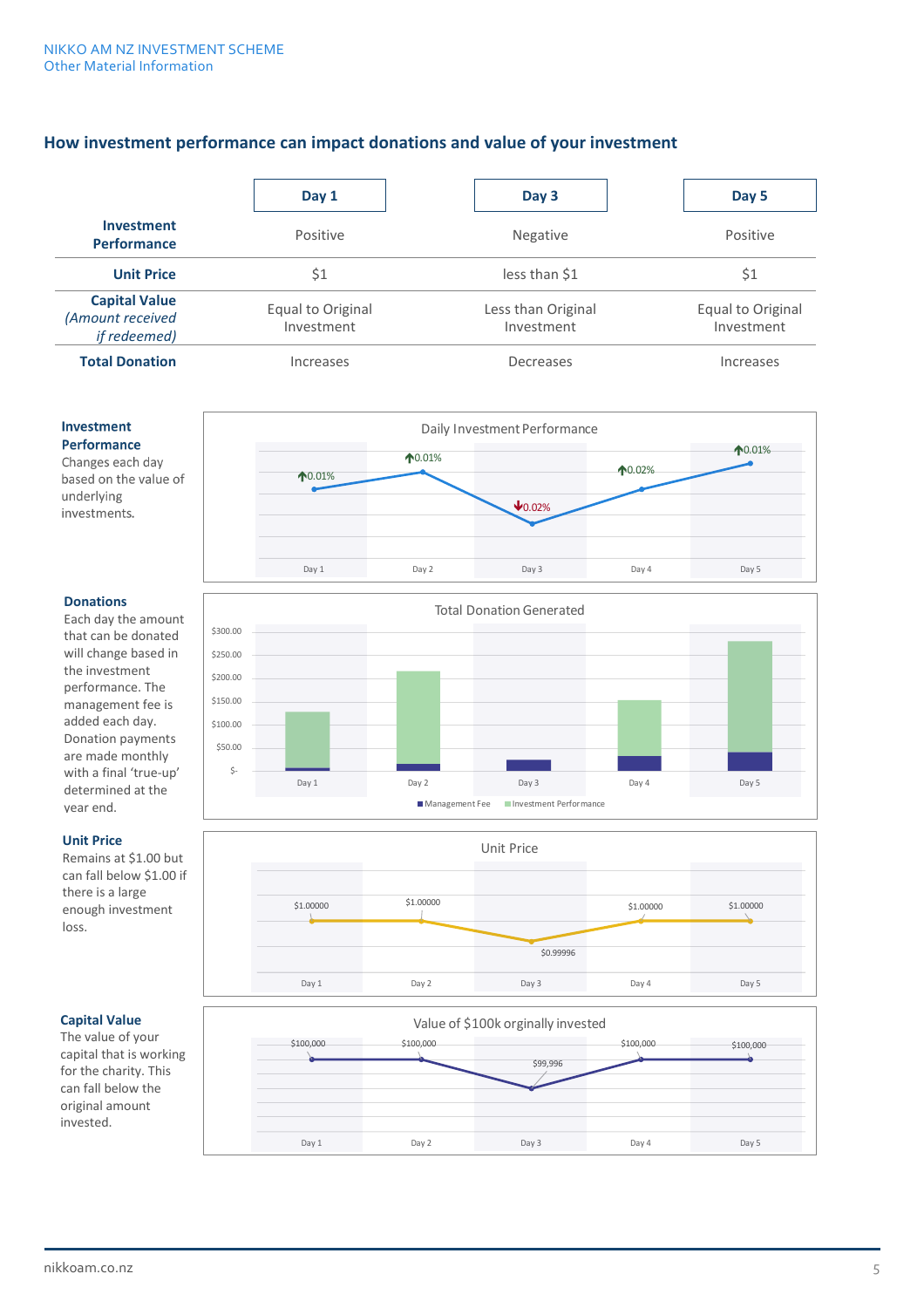#### **How investment performance can impact donations and value of your investment**

|                                                                  | Day 1                           | Day 3                            | Day 5                           |
|------------------------------------------------------------------|---------------------------------|----------------------------------|---------------------------------|
| <b>Investment</b><br><b>Performance</b>                          | Positive                        | Negative                         | Positive                        |
| <b>Unit Price</b>                                                | \$1                             | less than \$1                    | \$1                             |
| <b>Capital Value</b><br>(Amount received<br><i>if redeemed</i> ) | Equal to Original<br>Investment | Less than Original<br>Investment | Equal to Original<br>Investment |
| <b>Total Donation</b>                                            | Increases                       | Decreases                        | Increases                       |



#### **Donations**

**Investment** Performance Changes each day based on the value of

underlying investments.

Each day the amount that can be donated will change based in the investment performance. The management fee is added each day. Donation payments are made monthly with a final 'true-up' determined at the year end.

#### **Unit Price**

Remains at \$1.00 but can fall below \$1.00 if there is a large enough investment loss.





### **Capital Value**

The value of your capital that is working for the charity. This can fall below the original amount invested.